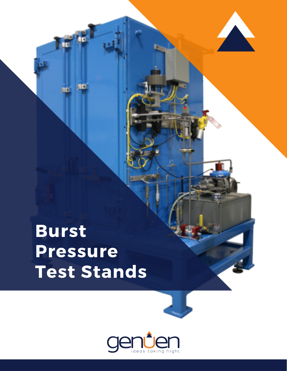# **Burst Pressure Test Stands**

٦C

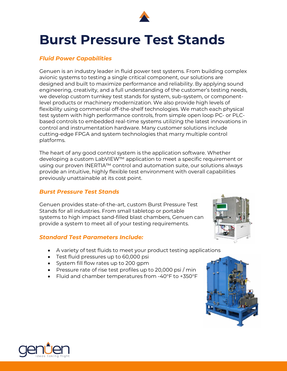

## **Burst Pressure Test Stands**

#### *Fluid Power Capabilities*

Genuen is an industry leader in fluid power test systems. From building complex avionic systems to testing a single critical component, our solutions are designed and built to maximize performance and reliability. By applying sound engineering, creativity, and a full understanding of the customer's testing needs, we develop custom turnkey test stands for system, sub-system, or componentlevel products or machinery modernization. We also provide high levels of flexibility using commercial off-the-shelf technologies. We match each physical test system with high performance controls, from simple open loop PC- or PLCbased controls to embedded real-time systems utilizing the latest innovations in control and instrumentation hardware. Many customer solutions include cutting-edge FPGA and system technologies that marry multiple control platforms.

The heart of any good control system is the application software. Whether developing a custom LabVIEW™ application to meet a specific requirement or using our proven INERTIA™ control and automation suite, our solutions always provide an intuitive, highly flexible test environment with overall capabilities previously unattainable at its cost point.

#### *Burst Pressure Test Stands*

Genuen provides state-of-the-art, custom Burst Pressure Test Stands for all industries. From small tabletop or portable systems to high impact sand-filled blast chambers, Genuen can provide a system to meet all of your testing requirements.

#### *Standard Test Parameters Include:*

- A variety of test fluids to meet your product testing applications
- Test fluid pressures up to 60,000 psi
- System fill flow rates up to 200 gpm
- Pressure rate of rise test profiles up to 20,000 psi / min
- Fluid and chamber temperatures from -40°F to +350°F